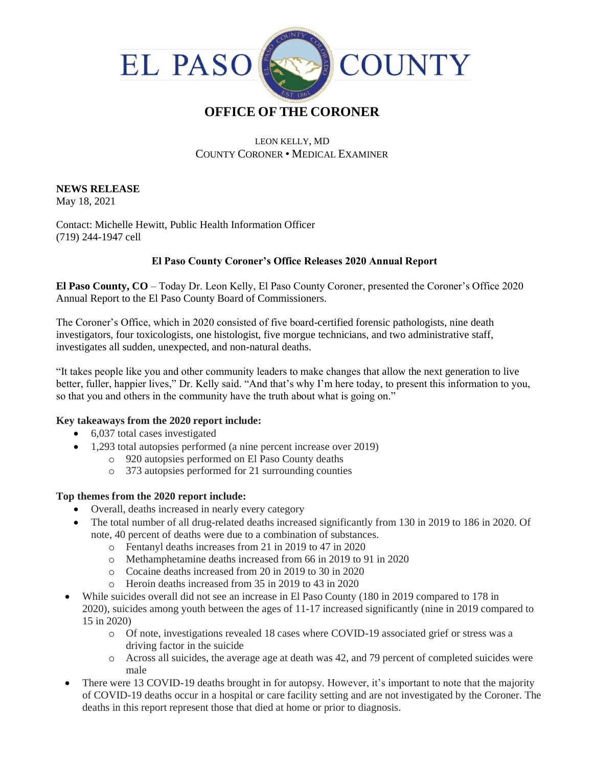

# **OFFICE OF THE CORONER**

### LEON KELLY, MD COUNTY CORONER • MEDICAL EXAMINER

#### **NEWS RELEASE** May 18, 2021

Contact: Michelle Hewitt, Public Health Information Officer (719) 244-1947 cell

# **El Paso County Coroner's Office Releases 2020 Annual Report**

**El Paso County, CO** – Today Dr. Leon Kelly, El Paso County Coroner, presented the Coroner's Office 2020 Annual Report to the El Paso County Board of Commissioners.

The Coroner's Office, which in 2020 consisted of five board-certified forensic pathologists, nine death investigators, four toxicologists, one histologist, five morgue technicians, and two administrative staff, investigates all sudden, unexpected, and non-natural deaths.

"It takes people like you and other community leaders to make changes that allow the next generation to live better, fuller, happier lives," Dr. Kelly said. "And that's why I'm here today, to present this information to you, so that you and others in the community have the truth about what is going on."

# **Key takeaways from the 2020 report include:**

- 6,037 total cases investigated
- 1,293 total autopsies performed (a nine percent increase over 2019)
	- o 920 autopsies performed on El Paso County deaths
	- o 373 autopsies performed for 21 surrounding counties

# **Top themes from the 2020 report include:**

- Overall, deaths increased in nearly every category
- The total number of all drug-related deaths increased significantly from 130 in 2019 to 186 in 2020. Of note, 40 percent of deaths were due to a combination of substances.
	- o Fentanyl deaths increases from 21 in 2019 to 47 in 2020
	- o Methamphetamine deaths increased from 66 in 2019 to 91 in 2020
	- o Cocaine deaths increased from 20 in 2019 to 30 in 2020
	- o Heroin deaths increased from 35 in 2019 to 43 in 2020
- While suicides overall did not see an increase in El Paso County (180 in 2019 compared to 178 in 2020), suicides among youth between the ages of 11-17 increased significantly (nine in 2019 compared to 15 in 2020)
	- o Of note, investigations revealed 18 cases where COVID-19 associated grief or stress was a driving factor in the suicide
	- o Across all suicides, the average age at death was 42, and 79 percent of completed suicides were male
- There were 13 COVID-19 deaths brought in for autopsy. However, it's important to note that the majority of COVID-19 deaths occur in a hospital or care facility setting and are not investigated by the Coroner. The deaths in this report represent those that died at home or prior to diagnosis.